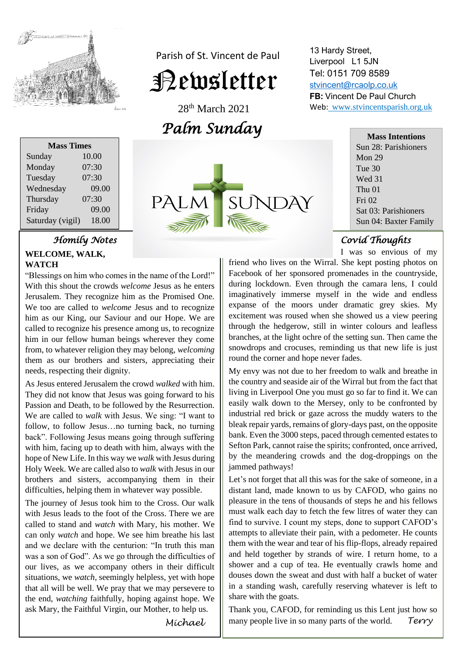

Parish of St. Vincent de Paul

# Newsletter

28<sup>th</sup> March 2021 *Palm Sunday* 

| <b>Mass Times</b> |       |  |
|-------------------|-------|--|
| Sunday            | 10.00 |  |
| Monday            | 07:30 |  |
| Tuesday           | 07:30 |  |
| Wednesday         | 09.00 |  |
| Thursday          | 07:30 |  |
| Friday            | 09.00 |  |
| Saturday (vigil)  | 18.00 |  |
|                   |       |  |



# *Homily Notes*

## **WELCOME, WALK, WATCH**

**WATCH**<br>
"Blessings on him who comes in the name of the Lord!"  Jerusalem. They recognize him as the Promised One. him as our King, our Saviour and our Hope. We are him in our fellow human beings wherever they come<br>from to whetever religion they may belong welcoming Inem as our brothers and sis<br>needs, respecting their dignity. With this shout the crowds *welcome* Jesus as he enters We too are called to *welcome* Jesus and to recognize called to recognize his presence among us, to recognize from, to whatever religion they may belong, *welcoming* them as our brothers and sisters, appreciating their

As resus entered rerusalem the crowd *walked* with him.<br>They did not know that Jesus was going forward to his  We are called to *walk* with Jesus. We sing: "I want to back". Following Jesus means going through suffering **hope of New Life. In this way we** *walk* **with Jesus during**<br>Hely Week, We are selled also to walk with Jesus in our brothers and sisters, accompanying them in the<br>difficulties, helping them in whatever way possible. As Jesus entered Jerusalem the crowd *walked* with him. Passion and Death, to be followed by the Resurrection. follow, to follow Jesus…no turning back, no turning with him, facing up to death with him, always with the Holy Week. We are called also to *walk* with Jesus in our brothers and sisters, accompanying them in their

I'll be journey of Jesus took him to the Cross. Our walk<br>with Jesus leads to the foot of the Cross. There we are can only *watch* and *watch* with *wary*, ins model. We can only *watch* and hope. We see him breathe his last was a son of God". As we go through the difficulties of situations, we *watch*, seemingly helpless, yet with hope the end, *watching* faithfully, hoping against hope. W<br>ask Mary, the Faithful Virgin, our Mother, to help us. The journey of Jesus took him to the Cross. Our walk called to stand and *watch* with Mary, his mother. We and we declare with the centurion: "In truth this man our lives, as we accompany others in their difficult that all will be well. We pray that we may persevere to the end, *watching* faithfully, hoping against hope. We

13 Hardy Street, Liverpool L1 5JN Tel: 0151 709 8589 [stvincent@rcaolp.co.uk](mailto:stvincent@rcaolp.co.uk) **FB:** Vincent De Paul Church Web: www.stvincentsparish.org.uk

> **Mass Intentions** Sun 28: Parishioners Mon 29 Tue 30 Wed 31 Thu 01 Fri 02 Sat 03: Parishioners Sun 04: Baxter Family

#### i *Covid Thoughts*

I was so envious of my

friend who lives on the Wirral. She kept posting photos on Facebook of her sponsored promenades in the countryside, during lockdown. Even through the camara lens, I could imaginatively immerse myself in the wide and endless expanse of the moors under dramatic grey skies. My excitement was roused when she showed us a view peering through the hedgerow, still in winter colours and leafless branches, at the light ochre of the setting sun. Then came the snowdrops and crocuses, reminding us that new life is just round the corner and hope never fades.

My envy was not due to her freedom to walk and breathe in the country and seaside air of the Wirral but from the fact that living in Liverpool One you must go so far to find it. We can easily walk down to the Mersey, only to be confronted by industrial red brick or gaze across the muddy waters to the bleak repair yards, remains of glory-days past, on the opposite bank. Even the 3000 steps, paced through cemented estates to Sefton Park, cannot raise the spirits; confronted, once arrived, by the meandering crowds and the dog-droppings on the jammed pathways!

Let's not forget that all this was for the sake of someone, in a distant land, made known to us by CAFOD, who gains no pleasure in the tens of thousands of steps he and his fellows must walk each day to fetch the few litres of water they can find to survive. I count my steps, done to support CAFOD's attempts to alleviate their pain, with a pedometer. He counts them with the wear and tear of his flip-flops, already repaired and held together by strands of wire. I return home, to a shower and a cup of tea. He eventually crawls home and douses down the sweat and dust with half a bucket of water in a standing wash, carefully reserving whatever is left to share with the goats.

Thank you, CAFOD, for reminding us this Lent just how so many people live in so many parts of the world. *Terry*

*Michael*